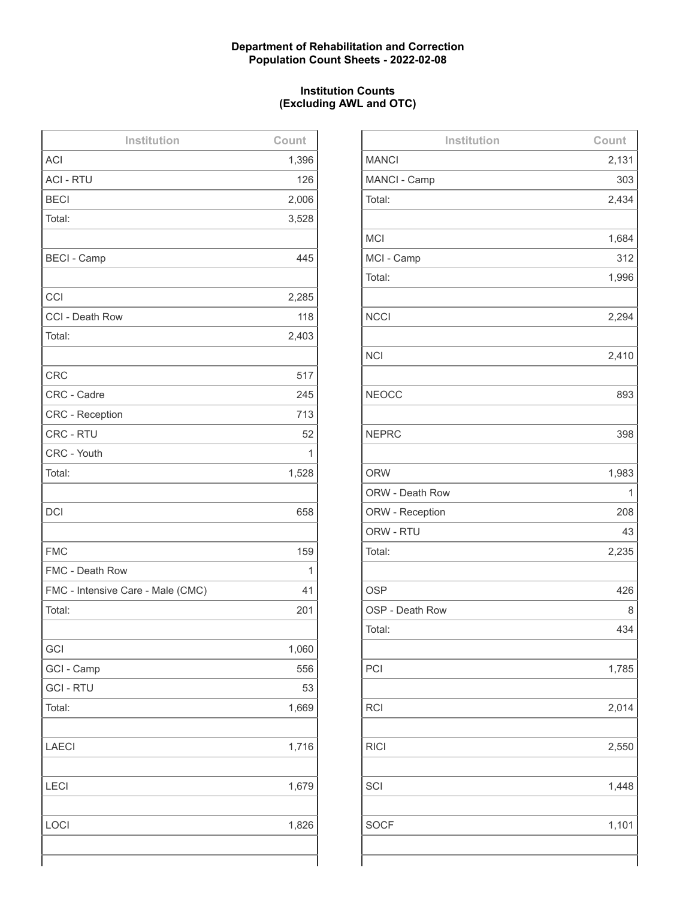# **Department of Rehabilitation and Correction Population Count Sheets - 2022-02-08**

# **Institution Counts (Excluding AWL and OTC)**

| Institution                       | Count |
|-----------------------------------|-------|
| <b>ACI</b>                        | 1,396 |
| <b>ACI - RTU</b>                  | 126   |
| <b>BECI</b>                       | 2,006 |
| Total:                            | 3,528 |
|                                   |       |
| <b>BECI - Camp</b>                | 445   |
|                                   |       |
| CCI                               | 2,285 |
| CCI - Death Row                   | 118   |
| Total:                            | 2,403 |
|                                   |       |
| <b>CRC</b>                        | 517   |
| CRC - Cadre                       | 245   |
| <b>CRC - Reception</b>            | 713   |
| CRC - RTU                         | 52    |
| CRC - Youth                       | 1     |
| Total:                            | 1,528 |
|                                   |       |
| <b>DCI</b>                        | 658   |
|                                   |       |
| <b>FMC</b>                        | 159   |
| FMC - Death Row                   | 1     |
| FMC - Intensive Care - Male (CMC) | 41    |
| Total:                            | 201   |
|                                   |       |
| GCI                               | 1,060 |
| GCI - Camp                        | 556   |
| <b>GCI - RTU</b>                  | 53    |
| Total:                            | 1,669 |
|                                   |       |
| <b>LAECI</b>                      | 1,716 |
|                                   |       |
| LECI                              | 1,679 |
|                                   |       |
| LOCI                              | 1,826 |
|                                   |       |
|                                   |       |

| Institution     | Count |
|-----------------|-------|
| <b>MANCI</b>    | 2,131 |
| MANCI - Camp    | 303   |
| Total:          | 2,434 |
|                 |       |
| <b>MCI</b>      | 1,684 |
| MCI - Camp      | 312   |
| Total:          | 1,996 |
|                 |       |
| <b>NCCI</b>     | 2,294 |
|                 |       |
| <b>NCI</b>      | 2,410 |
|                 |       |
| <b>NEOCC</b>    | 893   |
|                 |       |
| <b>NEPRC</b>    | 398   |
|                 |       |
| <b>ORW</b>      | 1,983 |
| ORW - Death Row | 1     |
| ORW - Reception | 208   |
| ORW - RTU       | 43    |
| Total:          | 2,235 |
|                 |       |
| <b>OSP</b>      | 426   |
| OSP - Death Row | 8     |
| Total:          | 434   |
|                 |       |
| PCI             | 1,785 |
|                 |       |
| <b>RCI</b>      | 2,014 |
|                 |       |
| <b>RICI</b>     | 2,550 |
|                 |       |
| SCI             | 1,448 |
|                 |       |
| <b>SOCF</b>     | 1,101 |
|                 |       |
|                 |       |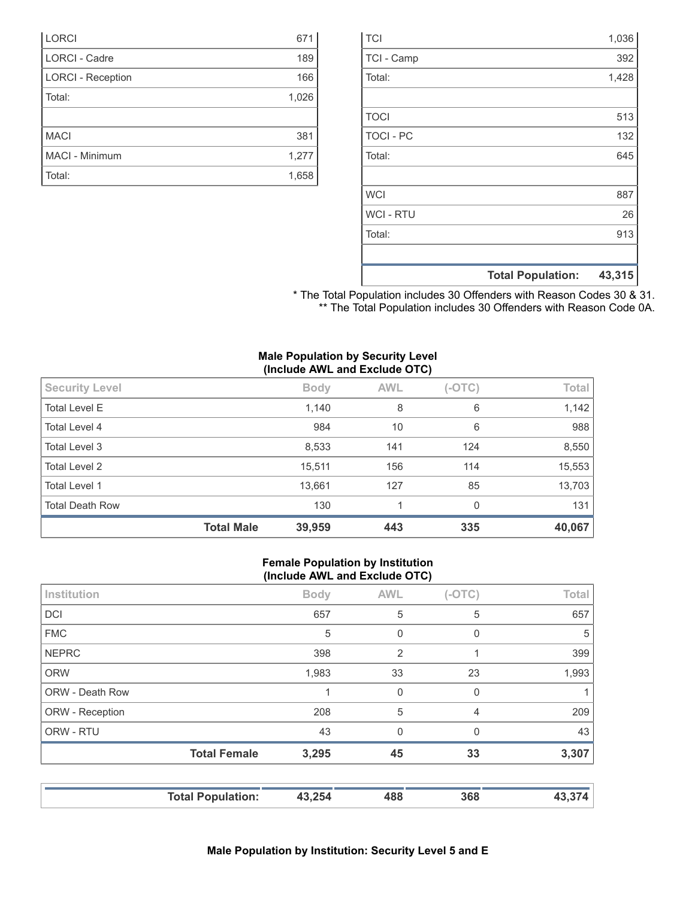|                  | <b>Total Population:</b> | 43,315 |
|------------------|--------------------------|--------|
|                  |                          |        |
| Total:           |                          | 913    |
| <b>WCI - RTU</b> |                          | 26     |
| <b>WCI</b>       |                          | 887    |
|                  |                          |        |
| Total:           |                          | 645    |
| <b>TOCI - PC</b> |                          | 132    |
| <b>TOCI</b>      |                          | 513    |
|                  |                          |        |
| Total:           |                          | 1,428  |
| TCI - Camp       |                          | 392    |
| <b>TCI</b>       |                          | 1,036  |

\* The Total Population includes 30 Offenders with Reason Codes 30 & 31. \*\* The Total Population includes 30 Offenders with Reason Code 0A.

|  |  | <b>Male Population by Security Level</b> |  |
|--|--|------------------------------------------|--|
|  |  | (Include AWL and Exclude OTC)            |  |

|                        | <b>Total Male</b> | 39,959      | 443        | 335          | 40,067 |
|------------------------|-------------------|-------------|------------|--------------|--------|
| <b>Total Death Row</b> |                   | 130         |            | $\mathbf{0}$ | 131    |
| <b>Total Level 1</b>   |                   | 13,661      | 127        | 85           | 13,703 |
| Total Level 2          |                   | 15,511      | 156        | 114          | 15,553 |
| Total Level 3          |                   | 8,533       | 141        | 124          | 8,550  |
| Total Level 4          |                   | 984         | 10         | 6            | 988    |
| <b>Total Level E</b>   |                   | 1,140       | 8          | 6            | 1,142  |
| <b>Security Level</b>  |                   | <b>Body</b> | <b>AWL</b> | $(-OTC)$     | Total  |

#### **Female Population by Institution (Include AWL and Exclude OTC)**

|                 | <b>Total Population:</b> | 43,254      | 488         | 368         | 43,374 |
|-----------------|--------------------------|-------------|-------------|-------------|--------|
|                 | <b>Total Female</b>      | 3,295       | 45          | 33          | 3,307  |
| ORW - RTU       |                          | 43          | $\mathbf 0$ | $\Omega$    | 43     |
| ORW - Reception |                          | 208         | 5           | 4           | 209    |
| ORW - Death Row |                          |             | $\mathbf 0$ | $\mathbf 0$ |        |
| <b>ORW</b>      |                          | 1,983       | 33          | 23          | 1,993  |
| <b>NEPRC</b>    |                          | 398         | 2           |             | 399    |
| <b>FMC</b>      |                          | 5           | $\mathbf 0$ | 0           | 5      |
| <b>DCI</b>      |                          | 657         | 5           | 5           | 657    |
| Institution     |                          | <b>Body</b> | <b>AWL</b>  | $(-OTC)$    | Total  |

| LORCI                    | 671   |
|--------------------------|-------|
| <b>LORCI - Cadre</b>     | 189   |
| <b>LORCI - Reception</b> | 166   |
| Total:                   | 1,026 |
|                          |       |
| <b>MACI</b>              | 381   |
| <b>MACI - Minimum</b>    | 1,277 |
| Total:                   | 1,658 |
|                          |       |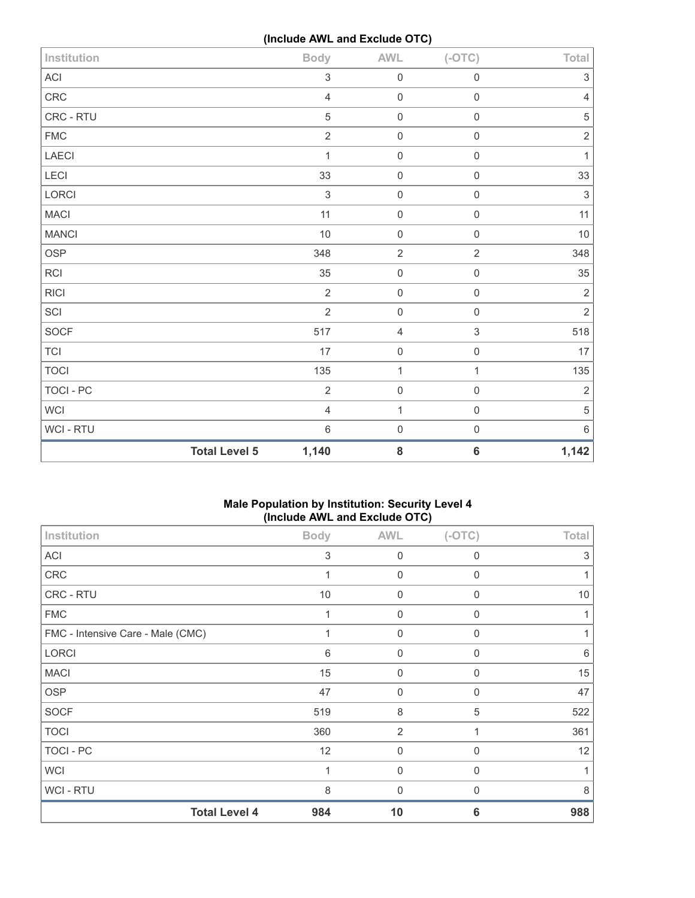**(Include AWL and Exclude OTC)**

| Institution  | $\ddot{\phantom{a}}$ | <b>Body</b>               | <b>AWL</b>          | $(-OTC)$                  | Total          |
|--------------|----------------------|---------------------------|---------------------|---------------------------|----------------|
| ACI          |                      | $\ensuremath{\mathsf{3}}$ | $\mathbf 0$         | $\,0\,$                   | $\sqrt{3}$     |
| ${\sf CRC}$  |                      | $\overline{4}$            | $\mathbf 0$         | $\mathbf 0$               | $\overline{4}$ |
| CRC - RTU    |                      | $\mathbf 5$               | $\mathbf 0$         | $\,0\,$                   | $\,$ 5 $\,$    |
| ${\sf FMC}$  |                      | $\sqrt{2}$                | $\mathbf 0$         | $\,0\,$                   | $\sqrt{2}$     |
| <b>LAECI</b> |                      | $\mathbf 1$               | $\mathbf 0$         | $\,0\,$                   | $\mathbf{1}$   |
| LECI         |                      | 33                        | $\mathbf 0$         | $\mathbf 0$               | $33\,$         |
| LORCI        |                      | $\ensuremath{\mathsf{3}}$ | $\mathbf 0$         | $\,0\,$                   | $\mathsf 3$    |
| MACI         |                      | 11                        | $\mathbf 0$         | $\,0\,$                   | 11             |
| <b>MANCI</b> |                      | $10$                      | $\mathsf{O}\xspace$ | $\boldsymbol{0}$          | $10\,$         |
| OSP          |                      | 348                       | $\sqrt{2}$          | $\mathbf{2}$              | 348            |
| RCI          |                      | 35                        | $\mathbf 0$         | $\,0\,$                   | 35             |
| <b>RICI</b>  |                      | $\overline{2}$            | $\mathbf 0$         | $\,0\,$                   | $\sqrt{2}$     |
| SCI          |                      | $\overline{2}$            | $\mathbf 0$         | $\mathbf 0$               | $\sqrt{2}$     |
| SOCF         |                      | 517                       | $\sqrt{4}$          | $\ensuremath{\mathsf{3}}$ | 518            |
| <b>TCI</b>   |                      | $17$                      | $\mathbf 0$         | $\,0\,$                   | 17             |
| <b>TOCI</b>  |                      | 135                       | $\mathbf{1}$        | 1                         | 135            |
| TOCI - PC    |                      | $\overline{2}$            | $\mathbf 0$         | $\mathbf 0$               | $\sqrt{2}$     |
| <b>WCI</b>   |                      | $\sqrt{4}$                | 1                   | $\mathbf 0$               | $\sqrt{5}$     |
| WCI - RTU    |                      | $\,6\,$                   | $\mathbf 0$         | $\mathsf 0$               | $\,6\,$        |
|              | <b>Total Level 5</b> | 1,140                     | ${\bf 8}$           | $\bf 6$                   | 1,142          |

### **Male Population by Institution: Security Level 4 (Include AWL and Exclude OTC)**

| Institution                       | <b>Body</b> | <b>AWL</b>       | $(-OTC)$    | Total |
|-----------------------------------|-------------|------------------|-------------|-------|
| ACI                               | $\sqrt{3}$  | $\boldsymbol{0}$ | $\mathbf 0$ | 3     |
| CRC                               | 1           | $\mathbf 0$      | $\Omega$    | 1     |
| CRC - RTU                         | 10          | $\boldsymbol{0}$ | $\mathbf 0$ | 10    |
| <b>FMC</b>                        | 1           | $\mathbf 0$      | $\Omega$    | 1     |
| FMC - Intensive Care - Male (CMC) |             | $\boldsymbol{0}$ | $\mathbf 0$ |       |
| <b>LORCI</b>                      | 6           | $\mathbf 0$      | $\mathbf 0$ | $6\,$ |
| <b>MACI</b>                       | 15          | $\boldsymbol{0}$ | $\mathbf 0$ | 15    |
| <b>OSP</b>                        | 47          | $\mathbf 0$      | $\mathbf 0$ | 47    |
| <b>SOCF</b>                       | 519         | 8                | 5           | 522   |
| <b>TOCI</b>                       | 360         | $\overline{2}$   | 1           | 361   |
| TOCI - PC                         | 12          | $\boldsymbol{0}$ | 0           | 12    |
| <b>WCI</b>                        | 1           | $\mathbf 0$      | $\mathbf 0$ |       |
| <b>WCI - RTU</b>                  | 8           | 0                | 0           | 8     |
| <b>Total Level 4</b>              | 984         | 10               | 6           | 988   |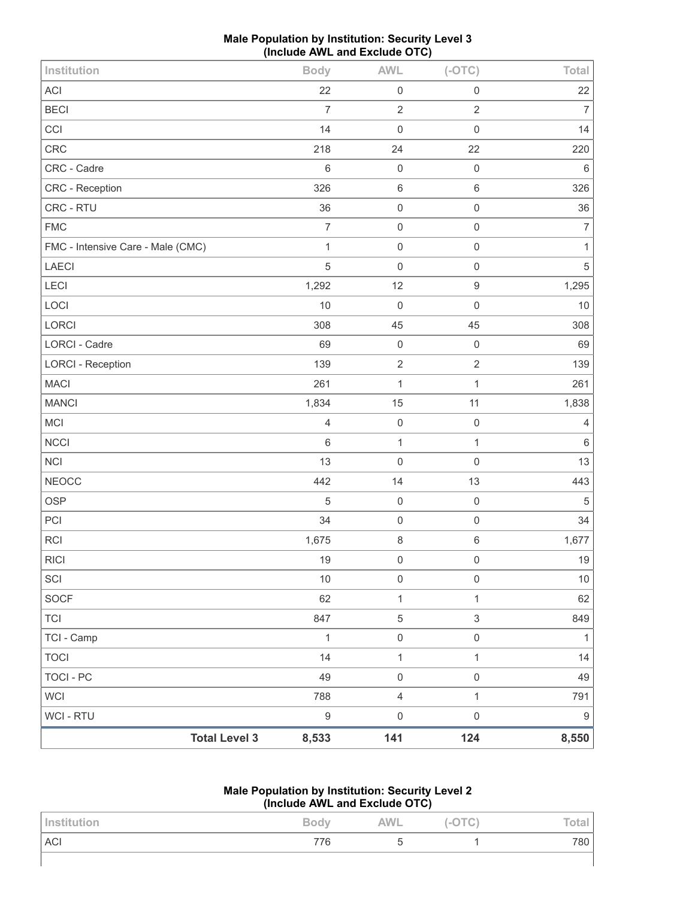| <b>Male Population by Institution: Security Level 3</b> |
|---------------------------------------------------------|
| (Include AWL and Exclude OTC)                           |

| Institution                       |                      | <b>Body</b>      | <b>AWL</b>          | $(-OTC)$            | Total            |
|-----------------------------------|----------------------|------------------|---------------------|---------------------|------------------|
| ACI                               |                      | 22               | $\mathbf 0$         | $\mathbf 0$         | 22               |
| <b>BECI</b>                       |                      | $\overline{7}$   | $\sqrt{2}$          | $\sqrt{2}$          | $\overline{7}$   |
| CCI                               |                      | 14               | $\mathbf 0$         | $\mathbf 0$         | 14               |
| CRC                               |                      | 218              | 24                  | 22                  | 220              |
| CRC - Cadre                       |                      | 6                | $\mathbf 0$         | $\mathbf 0$         | $\,6\,$          |
| CRC - Reception                   |                      | 326              | $\,6\,$             | $\,6\,$             | 326              |
| CRC - RTU                         |                      | 36               | $\mathsf{O}\xspace$ | $\mathbf 0$         | 36               |
| <b>FMC</b>                        |                      | $\overline{7}$   | $\mathbf 0$         | $\mathbf 0$         | $\boldsymbol{7}$ |
| FMC - Intensive Care - Male (CMC) |                      | $\mathbf{1}$     | $\mathbf 0$         | $\mathbf 0$         | $\mathbf{1}$     |
| LAECI                             |                      | 5                | $\mathbf 0$         | $\mathbf 0$         | $\sqrt{5}$       |
| LECI                              |                      | 1,292            | 12                  | $\boldsymbol{9}$    | 1,295            |
| LOCI                              |                      | 10               | $\mathbf 0$         | $\mathbf 0$         | $10$             |
| LORCI                             |                      | 308              | 45                  | 45                  | 308              |
| LORCI - Cadre                     |                      | 69               | $\mathbf 0$         | $\mathbf 0$         | 69               |
| <b>LORCI - Reception</b>          |                      | 139              | $\sqrt{2}$          | $\sqrt{2}$          | 139              |
| <b>MACI</b>                       |                      | 261              | $\mathbf 1$         | $\mathbf 1$         | 261              |
| <b>MANCI</b>                      |                      | 1,834            | 15                  | 11                  | 1,838            |
| MCI                               |                      | $\sqrt{4}$       | $\mathsf{O}\xspace$ | $\mathbf 0$         | $\overline{4}$   |
| <b>NCCI</b>                       |                      | $\,6\,$          | $\mathbf{1}$        | $\mathbf{1}$        | $\,6\,$          |
| <b>NCI</b>                        |                      | 13               | $\mathbf 0$         | $\mathbf 0$         | 13               |
| <b>NEOCC</b>                      |                      | 442              | 14                  | 13                  | 443              |
| <b>OSP</b>                        |                      | $\overline{5}$   | $\mathbf 0$         | $\mathbf 0$         | $\overline{5}$   |
| PCI                               |                      | 34               | $\mathsf{O}\xspace$ | $\mathbf 0$         | 34               |
| <b>RCI</b>                        |                      | 1,675            | $\,8\,$             | $\,6\,$             | 1,677            |
| <b>RICI</b>                       |                      | 19               | $\pmb{0}$           | $\mathbf 0$         | 19               |
| SCI                               |                      | $10$             | $\mathbf 0$         | $\mathbf 0$         | $10\,$           |
| SOCF                              |                      | 62               | $\mathbf{1}$        | $\mathbf{1}$        | 62               |
| <b>TCI</b>                        |                      | 847              | $\mathbf 5$         | 3                   | 849              |
| TCI - Camp                        |                      | $\mathbf{1}$     | $\mathsf 0$         | $\mathbf 0$         | $\mathbf{1}$     |
| <b>TOCI</b>                       |                      | 14               | $\mathbf 1$         | $\mathbf{1}$        | 14               |
| TOCI - PC                         |                      | 49               | $\mathbf 0$         | $\mathsf{O}\xspace$ | 49               |
| <b>WCI</b>                        |                      | 788              | $\overline{4}$      | 1                   | 791              |
| <b>WCI - RTU</b>                  |                      | $\boldsymbol{9}$ | $\mathbf 0$         | $\mathbf 0$         | $\boldsymbol{9}$ |
|                                   | <b>Total Level 3</b> | 8,533            | 141                 | 124                 | 8,550            |

# **Male Population by Institution: Security Level 2 (Include AWL and Exclude OTC)**

| Institution | <b>Body</b> | AWL | $(-OTC)$ | Total |
|-------------|-------------|-----|----------|-------|
| <b>ACI</b>  | 776         |     |          | 780   |
|             |             |     |          |       |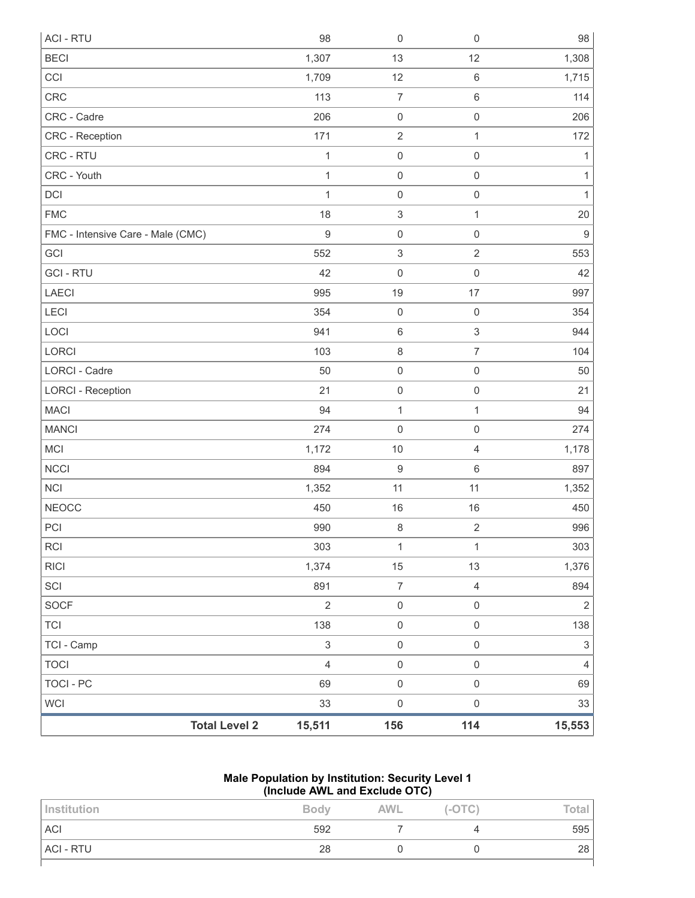| <b>Total Level 2</b>              | 15,511         | 156                       | 114                 | 15,553                    |
|-----------------------------------|----------------|---------------------------|---------------------|---------------------------|
| <b>WCI</b>                        | 33             | $\mathsf{O}\xspace$       | $\mathbf 0$         | 33                        |
| <b>TOCI - PC</b>                  | 69             | $\mathbf 0$               | $\mathbf 0$         | 69                        |
| <b>TOCI</b>                       | $\overline{4}$ | $\mathbf 0$               | $\mathsf{O}\xspace$ | $\overline{4}$            |
| TCI - Camp                        | $\sqrt{3}$     | $\mathsf 0$               | $\mathbf 0$         | $\ensuremath{\mathsf{3}}$ |
| <b>TCI</b>                        | 138            | $\mathbf 0$               | $\mathbf 0$         | 138                       |
| <b>SOCF</b>                       | $\overline{2}$ | $\mathsf 0$               | $\mathsf 0$         | $\sqrt{2}$                |
| SCI                               | 891            | $\overline{7}$            | $\overline{4}$      | 894                       |
| <b>RICI</b>                       | 1,374          | 15                        | 13                  | 1,376                     |
| <b>RCI</b>                        | 303            | $\mathbf{1}$              | $\mathbf{1}$        | 303                       |
| PCI                               | 990            | $\,8\,$                   | $\sqrt{2}$          | 996                       |
| <b>NEOCC</b>                      | 450            | 16                        | 16                  | 450                       |
| <b>NCI</b>                        | 1,352          | 11                        | 11                  | 1,352                     |
| <b>NCCI</b>                       | 894            | $\boldsymbol{9}$          | $\,6\,$             | 897                       |
| MCI                               | 1,172          | $10$                      | $\sqrt{4}$          | 1,178                     |
| <b>MANCI</b>                      | 274            | $\mathbf 0$               | $\mathbf 0$         | 274                       |
| <b>MACI</b>                       | 94             | $\mathbf 1$               | $\mathbf{1}$        | 94                        |
| <b>LORCI - Reception</b>          | 21             | $\mathbf 0$               | $\mathbf 0$         | 21                        |
| <b>LORCI - Cadre</b>              | 50             | $\mathbf 0$               | $\mathbf 0$         | 50                        |
| LORCI                             | 103            | 8                         | $\overline{7}$      | 104                       |
| LOCI                              | 941            | $\,6\,$                   | $\sqrt{3}$          | 944                       |
| LECI                              | 354            | $\mathbf 0$               | $\mathbf 0$         | 354                       |
| <b>LAECI</b>                      | 995            | 19                        | 17                  | 997                       |
| <b>GCI-RTU</b>                    | 42             | $\mathbf 0$               | $\mathbf 0$         | 42                        |
| GCI                               | 552            | $\ensuremath{\mathsf{3}}$ | $\sqrt{2}$          | 553                       |
| FMC - Intensive Care - Male (CMC) | $\overline{9}$ | $\mathbf 0$               | $\mathbf 0$         | $\boldsymbol{9}$          |
| <b>FMC</b>                        | 18             | $\ensuremath{\mathsf{3}}$ | $\mathbf{1}$        | 20                        |
| DCI                               | $\mathbf{1}$   | $\mathsf 0$               | $\mathsf{O}\xspace$ | $\mathbf{1}$              |
| CRC - Youth                       | 1              | $\mathbf 0$               | $\mathbf 0$         | $\mathbf{1}$              |
| CRC - RTU                         | 1              | $\mathbf 0$               | $\mathbf 0$         | 1                         |
| <b>CRC</b> - Reception            | 171            | $\sqrt{2}$                | $\mathbf{1}$        | 172                       |
| CRC - Cadre                       | 206            | $\mathbf 0$               | $\mathbf 0$         | 206                       |
| CRC                               | 113            | $\overline{7}$            | $\,6\,$             | 114                       |
| CCI                               | 1,709          | 12                        | $\,6\,$             | 1,715                     |
| <b>BECI</b>                       | 1,307          | 13                        | 12                  | 1,308                     |
| <b>ACI - RTU</b>                  | 98             | $\mathsf{O}\xspace$       | $\mathbf 0$         | 98                        |

# **Male Population by Institution: Security Level 1 (Include AWL and Exclude OTC)**

| Institution | Body | <b>AWL</b> | $(-OTC)$ | Total |
|-------------|------|------------|----------|-------|
| <b>ACI</b>  | 592  |            |          | 595   |
| ACI - RTU   | 28   |            |          | 28    |
|             |      |            |          |       |